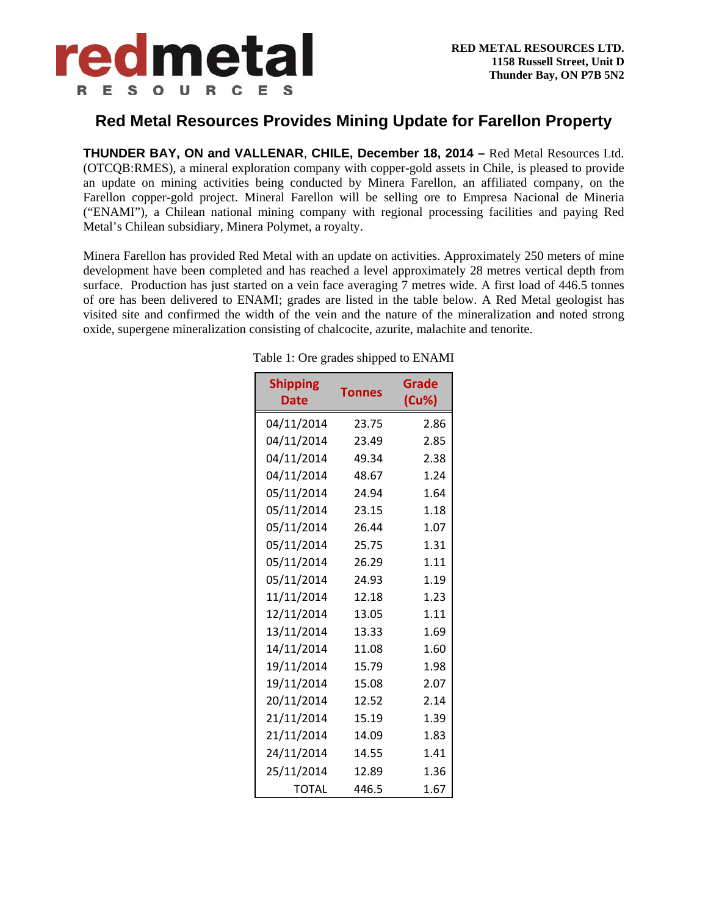

## **Red Metal Resources Provides Mining Update for Farellon Property**

**THUNDER BAY, ON and VALLENAR**, **CHILE, December 18, 2014 –** Red Metal Resources Ltd. (OTCQB:RMES), a mineral exploration company with copper-gold assets in Chile, is pleased to provide an update on mining activities being conducted by Minera Farellon, an affiliated company, on the Farellon copper-gold project. Mineral Farellon will be selling ore to Empresa Nacional de Mineria ("ENAMI"), a Chilean national mining company with regional processing facilities and paying Red Metal's Chilean subsidiary, Minera Polymet, a royalty.

Minera Farellon has provided Red Metal with an update on activities. Approximately 250 meters of mine development have been completed and has reached a level approximately 28 metres vertical depth from surface. Production has just started on a vein face averaging 7 metres wide. A first load of 446.5 tonnes of ore has been delivered to ENAMI; grades are listed in the table below. A Red Metal geologist has visited site and confirmed the width of the vein and the nature of the mineralization and noted strong oxide, supergene mineralization consisting of chalcocite, azurite, malachite and tenorite.

| <b>Shipping</b><br>Date | <b>Tonnes</b> | Grade<br>(Cu%) |
|-------------------------|---------------|----------------|
| 04/11/2014              | 23.75         | 2.86           |
| 04/11/2014              | 23.49         | 2.85           |
| 04/11/2014              | 49.34         | 2.38           |
| 04/11/2014              | 48.67         | 1.24           |
| 05/11/2014              | 24.94         | 1.64           |
| 05/11/2014              | 23.15         | 1.18           |
| 05/11/2014              | 26.44         | 1.07           |
| 05/11/2014              | 25.75         | 1.31           |
| 05/11/2014              | 26.29         | 1.11           |
| 05/11/2014              | 24.93         | 1.19           |
| 11/11/2014              | 12.18         | 1.23           |
| 12/11/2014              | 13.05         | 1.11           |
| 13/11/2014              | 13.33         | 1.69           |
| 14/11/2014              | 11.08         | 1.60           |
| 19/11/2014              | 15.79         | 1.98           |
| 19/11/2014              | 15.08         | 2.07           |
| 20/11/2014              | 12.52         | 2.14           |
| 21/11/2014              | 15.19         | 1.39           |
| 21/11/2014              | 14.09         | 1.83           |
| 24/11/2014              | 14.55         | 1.41           |
| 25/11/2014              | 12.89         | 1.36           |
| <b>TOTAL</b>            | 446.5         | 1.67           |

Table 1: Ore grades shipped to ENAMI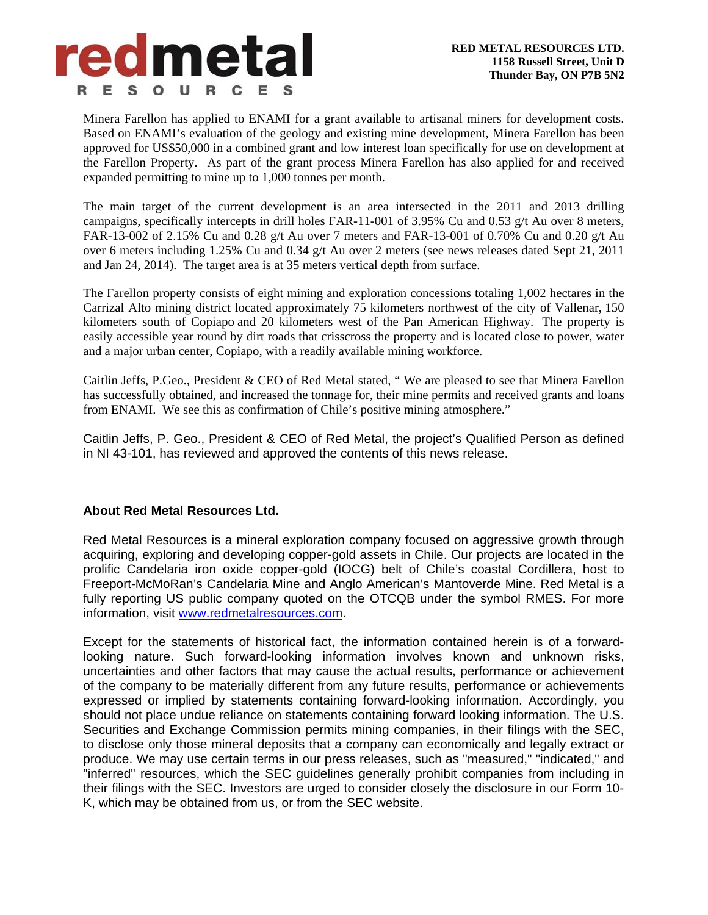

Minera Farellon has applied to ENAMI for a grant available to artisanal miners for development costs. Based on ENAMI's evaluation of the geology and existing mine development, Minera Farellon has been approved for US\$50,000 in a combined grant and low interest loan specifically for use on development at the Farellon Property. As part of the grant process Minera Farellon has also applied for and received expanded permitting to mine up to 1,000 tonnes per month.

The main target of the current development is an area intersected in the 2011 and 2013 drilling campaigns, specifically intercepts in drill holes FAR-11-001 of 3.95% Cu and 0.53 g/t Au over 8 meters, FAR-13-002 of 2.15% Cu and 0.28 g/t Au over 7 meters and FAR-13-001 of 0.70% Cu and 0.20 g/t Au over 6 meters including 1.25% Cu and 0.34 g/t Au over 2 meters (see news releases dated Sept 21, 2011 and Jan 24, 2014). The target area is at 35 meters vertical depth from surface.

The Farellon property consists of eight mining and exploration concessions totaling 1,002 hectares in the Carrizal Alto mining district located approximately 75 kilometers northwest of the city of Vallenar, 150 kilometers south of Copiapo and 20 kilometers west of the Pan American Highway. The property is easily accessible year round by dirt roads that crisscross the property and is located close to power, water and a major urban center, Copiapo, with a readily available mining workforce.

Caitlin Jeffs, P.Geo., President & CEO of Red Metal stated, " We are pleased to see that Minera Farellon has successfully obtained, and increased the tonnage for, their mine permits and received grants and loans from ENAMI. We see this as confirmation of Chile's positive mining atmosphere."

Caitlin Jeffs, P. Geo., President & CEO of Red Metal, the project's Qualified Person as defined in NI 43-101, has reviewed and approved the contents of this news release.

## **About Red Metal Resources Ltd.**

Red Metal Resources is a mineral exploration company focused on aggressive growth through acquiring, exploring and developing copper-gold assets in Chile. Our projects are located in the prolific Candelaria iron oxide copper-gold (IOCG) belt of Chile's coastal Cordillera, host to Freeport-McMoRan's Candelaria Mine and Anglo American's Mantoverde Mine. Red Metal is a fully reporting US public company quoted on the OTCQB under the symbol RMES. For more information, visit www.redmetalresources.com.

Except for the statements of historical fact, the information contained herein is of a forwardlooking nature. Such forward-looking information involves known and unknown risks, uncertainties and other factors that may cause the actual results, performance or achievement of the company to be materially different from any future results, performance or achievements expressed or implied by statements containing forward-looking information. Accordingly, you should not place undue reliance on statements containing forward looking information. The U.S. Securities and Exchange Commission permits mining companies, in their filings with the SEC, to disclose only those mineral deposits that a company can economically and legally extract or produce. We may use certain terms in our press releases, such as "measured," "indicated," and "inferred" resources, which the SEC guidelines generally prohibit companies from including in their filings with the SEC. Investors are urged to consider closely the disclosure in our Form 10- K, which may be obtained from us, or from the SEC website.